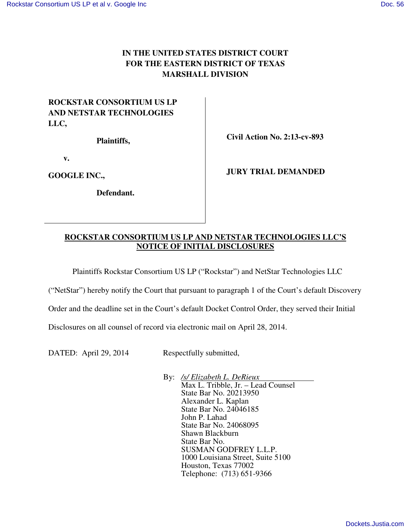# **IN THE UNITED STATES DISTRICT COURT FOR THE EASTERN DISTRICT OF TEXAS MARSHALL DIVISION**

## **ROCKSTAR CONSORTIUM US LP AND NETSTAR TECHNOLOGIES LLC,**

 **Plaintiffs,** 

 **v.** 

**GOOGLE INC.,** 

 **Defendant.** 

 **Civil Action No. 2:13-cv-893** 

 **JURY TRIAL DEMANDED** 

#### **ROCKSTAR CONSORTIUM US LP AND NETSTAR TECHNOLOGIES LLC'S NOTICE OF INITIAL DISCLOSURES**

Plaintiffs Rockstar Consortium US LP ("Rockstar") and NetStar Technologies LLC

("NetStar") hereby notify the Court that pursuant to paragraph 1 of the Court's default Discovery

Order and the deadline set in the Court's default Docket Control Order, they served their Initial

Disclosures on all counsel of record via electronic mail on April 28, 2014.

DATED: April 29, 2014 Respectfully submitted,

By: */s/ Elizabeth L. DeRieux* Max L. Tribble, Jr. – Lead Counsel State Bar No. 20213950 Alexander L. Kaplan State Bar No. 24046185 John P. Lahad State Bar No. 24068095 Shawn Blackburn State Bar No. SUSMAN GODFREY L.L.P. 1000 Louisiana Street, Suite 5100 Houston, Texas 77002 Telephone: (713) 651-9366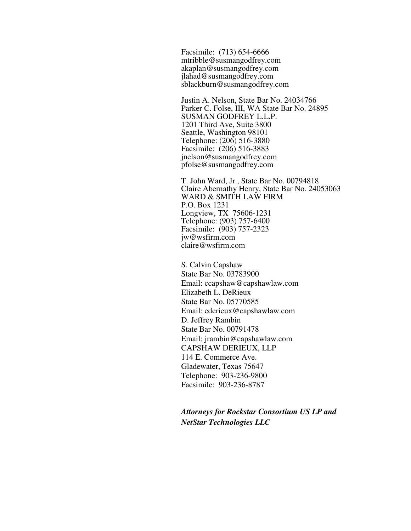Facsimile: (713) 654-6666 mtribble@susmangodfrey.com akaplan@susmangodfrey.com jlahad@susmangodfrey.com sblackburn@susmangodfrey.com

Justin A. Nelson, State Bar No. 24034766 Parker C. Folse, III, WA State Bar No. 24895 SUSMAN GODFREY L.L.P. 1201 Third Ave, Suite 3800 Seattle, Washington 98101 Telephone: (206) 516-3880 Facsimile: (206) 516-3883 jnelson@susmangodfrey.com pfolse@susmangodfrey.com

T. John Ward, Jr., State Bar No. 00794818 Claire Abernathy Henry, State Bar No. 24053063 WARD & SMITH LAW FIRM P.O. Box 1231 Longview, TX 75606-1231 Telephone: (903) 757-6400 Facsimile: (903) 757-2323 jw@wsfirm.com claire@wsfirm.com

S. Calvin Capshaw State Bar No. 03783900 Email: ccapshaw@capshawlaw.com Elizabeth L. DeRieux State Bar No. 05770585 Email: ederieux@capshawlaw.com D. Jeffrey Rambin State Bar No. 00791478 Email: jrambin@capshawlaw.com CAPSHAW DERIEUX, LLP 114 E. Commerce Ave. Gladewater, Texas 75647 Telephone: 903-236-9800 Facsimile: 903-236-8787

### *Attorneys for Rockstar Consortium US LP and NetStar Technologies LLC*